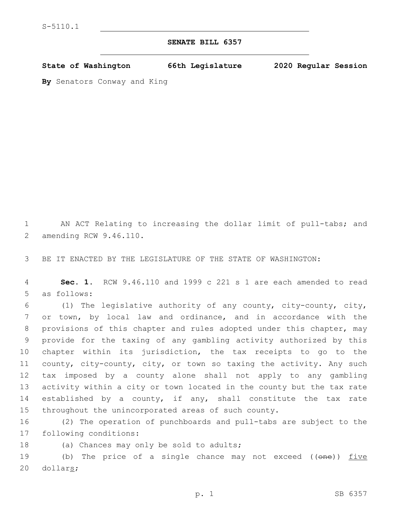## **SENATE BILL 6357**

**State of Washington 66th Legislature 2020 Regular Session**

**By** Senators Conway and King

1 AN ACT Relating to increasing the dollar limit of pull-tabs; and 2 amending RCW 9.46.110.

3 BE IT ENACTED BY THE LEGISLATURE OF THE STATE OF WASHINGTON:

4 **Sec. 1.** RCW 9.46.110 and 1999 c 221 s 1 are each amended to read 5 as follows:

 (1) The legislative authority of any county, city-county, city, or town, by local law and ordinance, and in accordance with the provisions of this chapter and rules adopted under this chapter, may provide for the taxing of any gambling activity authorized by this chapter within its jurisdiction, the tax receipts to go to the county, city-county, city, or town so taxing the activity. Any such tax imposed by a county alone shall not apply to any gambling activity within a city or town located in the county but the tax rate established by a county, if any, shall constitute the tax rate throughout the unincorporated areas of such county.

16 (2) The operation of punchboards and pull-tabs are subject to the 17 following conditions:

18 (a) Chances may only be sold to adults;

19 (b) The price of a single chance may not exceed ((one)) five 20 dollars;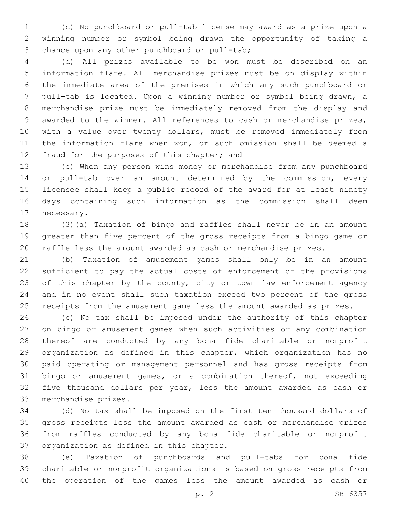(c) No punchboard or pull-tab license may award as a prize upon a winning number or symbol being drawn the opportunity of taking a 3 chance upon any other punchboard or pull-tab;

 (d) All prizes available to be won must be described on an information flare. All merchandise prizes must be on display within the immediate area of the premises in which any such punchboard or pull-tab is located. Upon a winning number or symbol being drawn, a merchandise prize must be immediately removed from the display and awarded to the winner. All references to cash or merchandise prizes, with a value over twenty dollars, must be removed immediately from the information flare when won, or such omission shall be deemed a 12 fraud for the purposes of this chapter; and

 (e) When any person wins money or merchandise from any punchboard or pull-tab over an amount determined by the commission, every licensee shall keep a public record of the award for at least ninety days containing such information as the commission shall deem 17 necessary.

 (3)(a) Taxation of bingo and raffles shall never be in an amount greater than five percent of the gross receipts from a bingo game or raffle less the amount awarded as cash or merchandise prizes.

 (b) Taxation of amusement games shall only be in an amount sufficient to pay the actual costs of enforcement of the provisions 23 of this chapter by the county, city or town law enforcement agency and in no event shall such taxation exceed two percent of the gross receipts from the amusement game less the amount awarded as prizes.

 (c) No tax shall be imposed under the authority of this chapter on bingo or amusement games when such activities or any combination thereof are conducted by any bona fide charitable or nonprofit organization as defined in this chapter, which organization has no paid operating or management personnel and has gross receipts from bingo or amusement games, or a combination thereof, not exceeding five thousand dollars per year, less the amount awarded as cash or 33 merchandise prizes.

 (d) No tax shall be imposed on the first ten thousand dollars of gross receipts less the amount awarded as cash or merchandise prizes from raffles conducted by any bona fide charitable or nonprofit 37 organization as defined in this chapter.

 (e) Taxation of punchboards and pull-tabs for bona fide charitable or nonprofit organizations is based on gross receipts from the operation of the games less the amount awarded as cash or